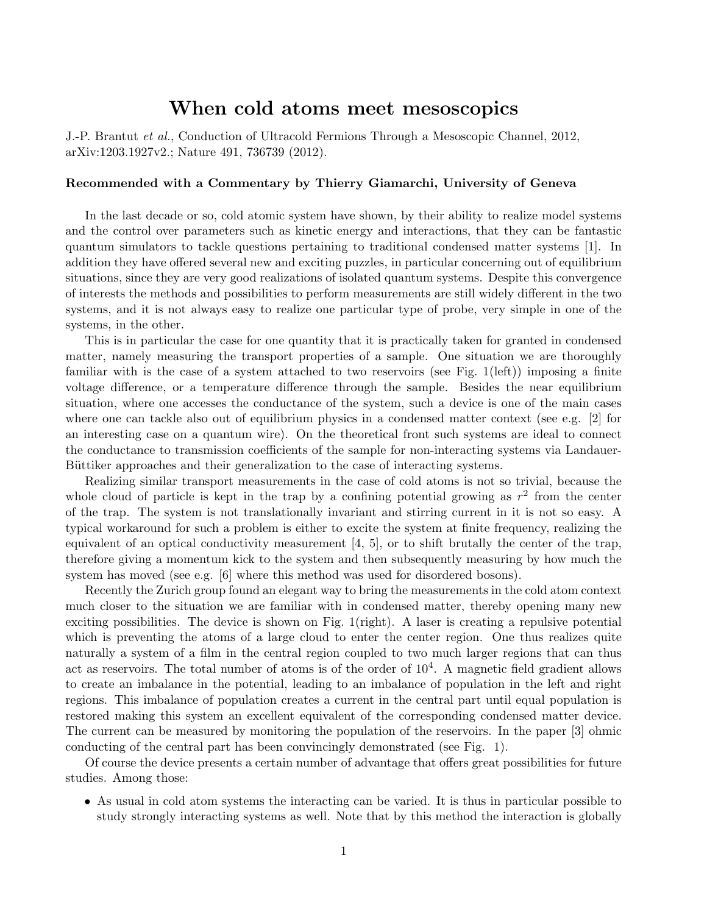## When cold atoms meet mesoscopics

J.-P. Brantut *et al.*, Conduction of Ultracold Fermions Through a Mesoscopic Channel, 2012, arXiv:1203.1927v2.; Nature 491, 736739 (2012).

## Recommended with a Commentary by Thierry Giamarchi, University of Geneva

In the last decade or so, cold atomic system have shown, by their ability to realize model systems and the control over parameters such as kinetic energy and interactions, that they can be fantastic quantum simulators to tackle questions pertaining to traditional condensed matter systems [1]. In addition they have offered several new and exciting puzzles, in particular concerning out of equilibrium situations, since they are very good realizations of isolated quantum systems. Despite this convergence of interests the methods and possibilities to perform measurements are still widely different in the two systems, and it is not always easy to realize one particular type of probe, very simple in one of the systems, in the other.

This is in particular the case for one quantity that it is practically taken for granted in condensed matter, namely measuring the transport properties of a sample. One situation we are thoroughly familiar with is the case of a system attached to two reservoirs (see Fig. 1(left)) imposing a finite voltage difference, or a temperature difference through the sample. Besides the near equilibrium situation, where one accesses the conductance of the system, such a device is one of the main cases where one can tackle also out of equilibrium physics in a condensed matter context (see e.g. [2] for an interesting case on a quantum wire). On the theoretical front such systems are ideal to connect the conductance to transmission coefficients of the sample for non-interacting systems via Landauer-Büttiker approaches and their generalization to the case of interacting systems.

Realizing similar transport measurements in the case of cold atoms is not so trivial, because the whole cloud of particle is kept in the trap by a confining potential growing as  $r^2$  from the center of the trap. The system is not translationally invariant and stirring current in it is not so easy. A typical workaround for such a problem is either to excite the system at finite frequency, realizing the equivalent of an optical conductivity measurement  $[4, 5]$ , or to shift brutally the center of the trap, therefore giving a momentum kick to the system and then subsequently measuring by how much the system has moved (see e.g. [6] where this method was used for disordered bosons).

Recently the Zurich group found an elegant way to bring the measurements in the cold atom context much closer to the situation we are familiar with in condensed matter, thereby opening many new exciting possibilities. The device is shown on Fig. 1(right). A laser is creating a repulsive potential which is preventing the atoms of a large cloud to enter the center region. One thus realizes quite naturally a system of a film in the central region coupled to two much larger regions that can thus act as reservoirs. The total number of atoms is of the order of  $10<sup>4</sup>$ . A magnetic field gradient allows to create an imbalance in the potential, leading to an imbalance of population in the left and right regions. This imbalance of population creates a current in the central part until equal population is restored making this system an excellent equivalent of the corresponding condensed matter device. The current can be measured by monitoring the population of the reservoirs. In the paper [3] ohmic conducting of the central part has been convincingly demonstrated (see Fig. 1).

Of course the device presents a certain number of advantage that o↵ers great possibilities for future studies. Among those:

• As usual in cold atom systems the interacting can be varied. It is thus in particular possible to study strongly interacting systems as well. Note that by this method the interaction is globally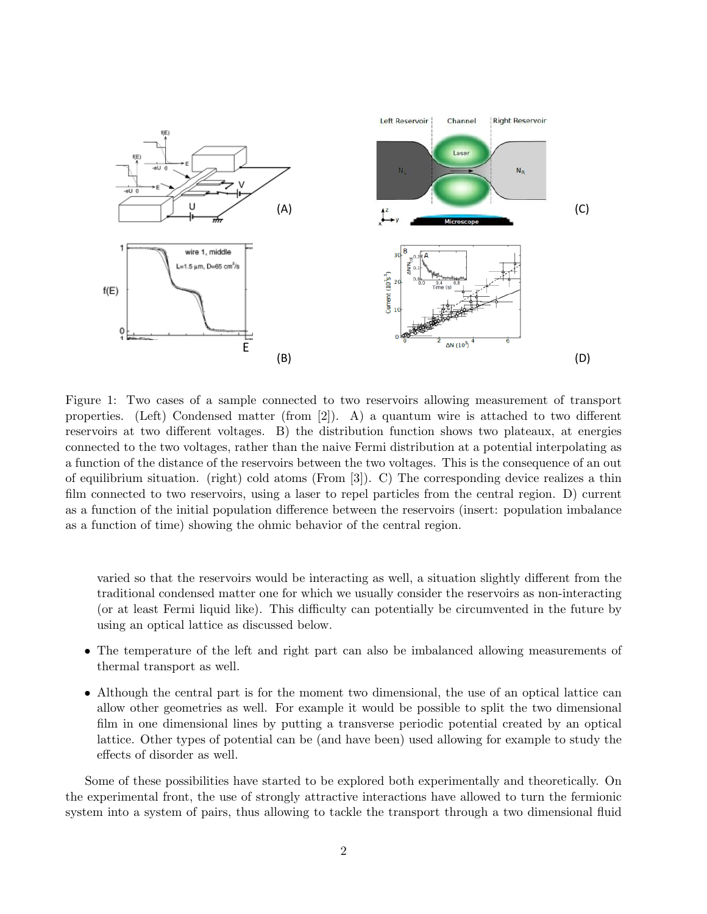

Figure 1: Two cases of a sample connected to two reservoirs allowing measurement of transport properties. (Left) Condensed matter (from [2]). A) a quantum wire is attached to two different reservoirs at two different voltages. B) the distribution function shows two plateaux, at energies connected to the two voltages, rather than the naive Fermi distribution at a potential interpolating as a function of the distance of the reservoirs between the two voltages. This is the consequence of an out of equilibrium situation. (right) cold atoms (From [3]). C) The corresponding device realizes a thin film connected to two reservoirs, using a laser to repel particles from the central region. D) current as a function of the initial population difference between the reservoirs (insert: population imbalance as a function of time) showing the ohmic behavior of the central region.

varied so that the reservoirs would be interacting as well, a situation slightly different from the traditional condensed matter one for which we usually consider the reservoirs as non-interacting (or at least Fermi liquid like). This difficulty can potentially be circumvented in the future by using an optical lattice as discussed below.

- The temperature of the left and right part can also be imbalanced allowing measurements of thermal transport as well.
- Although the central part is for the moment two dimensional, the use of an optical lattice can allow other geometries as well. For example it would be possible to split the two dimensional film in one dimensional lines by putting a transverse periodic potential created by an optical lattice. Other types of potential can be (and have been) used allowing for example to study the effects of disorder as well.

Some of these possibilities have started to be explored both experimentally and theoretically. On the experimental front, the use of strongly attractive interactions have allowed to turn the fermionic system into a system of pairs, thus allowing to tackle the transport through a two dimensional fluid